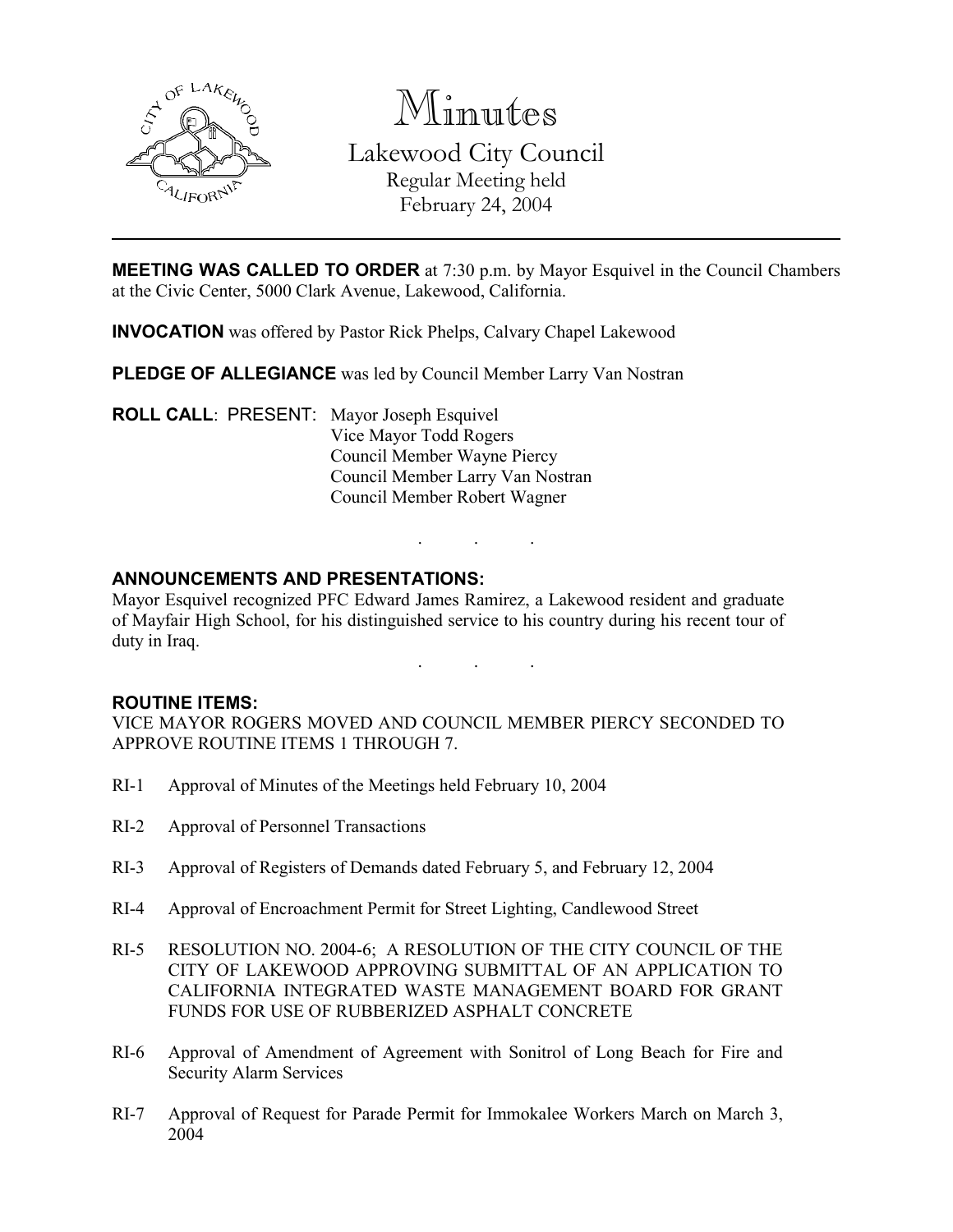

Minutes

Lakewood City Council Regular Meeting held February 24, 2004

MEETING WAS CALLED TO ORDER at 7:30 p.m. by Mayor Esquivel in the Council Chambers at the Civic Center, 5000 Clark Avenue, Lakewood, California.

INVOCATION was offered by Pastor Rick Phelps, Calvary Chapel Lakewood

PLEDGE OF ALLEGIANCE was led by Council Member Larry Van Nostran

ROLL CALL: PRESENT: Mayor Joseph Esquivel Vice Mayor Todd Rogers Council Member Wayne Piercy Council Member Larry Van Nostran Council Member Robert Wagner

## ANNOUNCEMENTS AND PRESENTATIONS:

Mayor Esquivel recognized PFC Edward James Ramirez, a Lakewood resident and graduate of Mayfair High School, for his distinguished service to his country during his recent tour of duty in Iraq.

. . .

. . .

### ROUTINE ITEMS:

VICE MAYOR ROGERS MOVED AND COUNCIL MEMBER PIERCY SECONDED TO APPROVE ROUTINE ITEMS 1 THROUGH 7.

- RI-1 Approval of Minutes of the Meetings held February 10, 2004
- RI-2 Approval of Personnel Transactions
- RI-3 Approval of Registers of Demands dated February 5, and February 12, 2004
- RI-4 Approval of Encroachment Permit for Street Lighting, Candlewood Street
- RI-5 RESOLUTION NO. 2004-6; A RESOLUTION OF THE CITY COUNCIL OF THE CITY OF LAKEWOOD APPROVING SUBMITTAL OF AN APPLICATION TO CALIFORNIA INTEGRATED WASTE MANAGEMENT BOARD FOR GRANT FUNDS FOR USE OF RUBBERIZED ASPHALT CONCRETE
- RI-6 Approval of Amendment of Agreement with Sonitrol of Long Beach for Fire and Security Alarm Services
- RI-7 Approval of Request for Parade Permit for Immokalee Workers March on March 3, 2004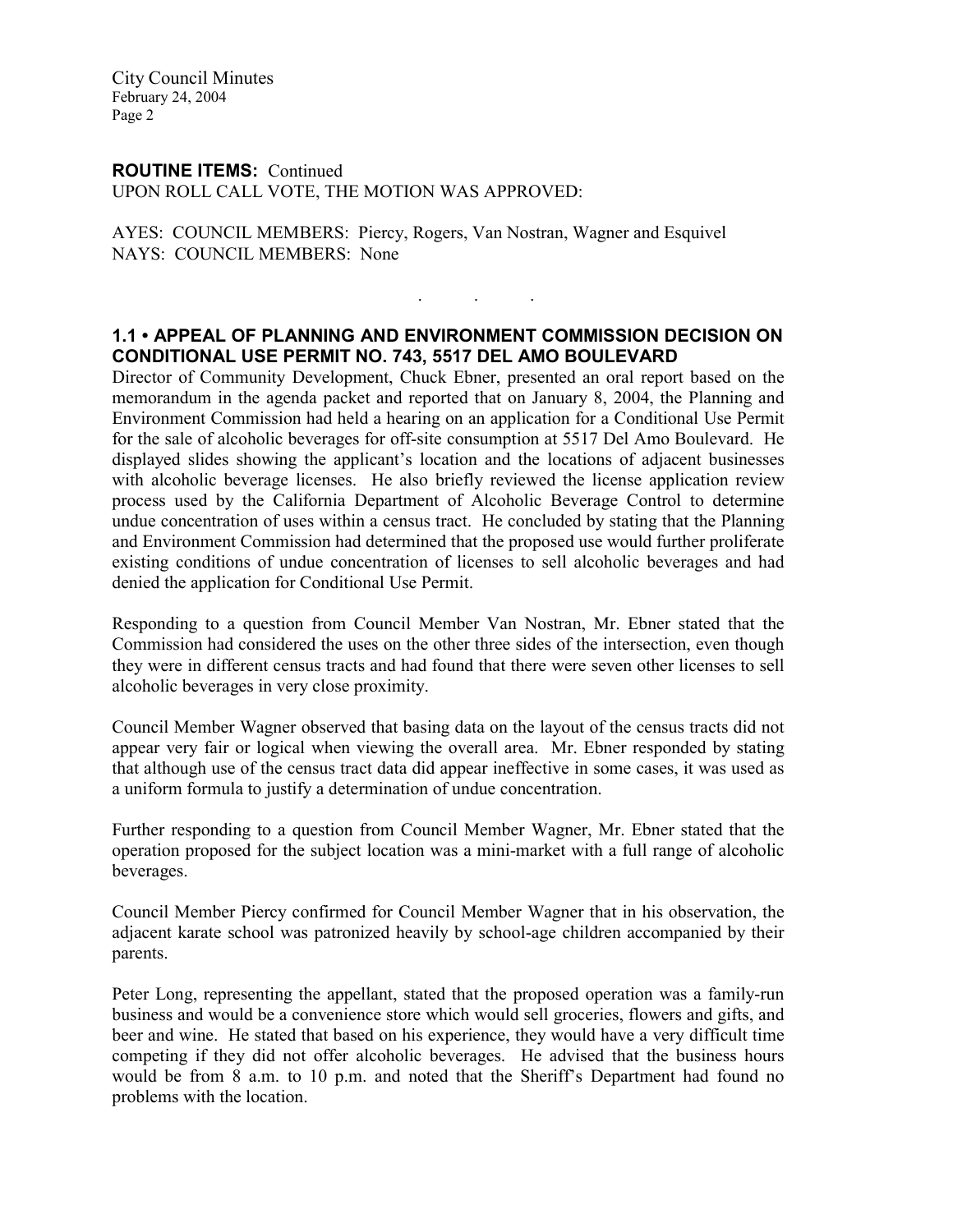City Council Minutes February 24, 2004 Page 2

#### ROUTINE ITEMS: Continued

UPON ROLL CALL VOTE, THE MOTION WAS APPROVED:

AYES: COUNCIL MEMBERS: Piercy, Rogers, Van Nostran, Wagner and Esquivel NAYS: COUNCIL MEMBERS: None

#### 1.1 • APPEAL OF PLANNING AND ENVIRONMENT COMMISSION DECISION ON CONDITIONAL USE PERMIT NO. 743, 5517 DEL AMO BOULEVARD

. . .

Director of Community Development, Chuck Ebner, presented an oral report based on the memorandum in the agenda packet and reported that on January 8, 2004, the Planning and Environment Commission had held a hearing on an application for a Conditional Use Permit for the sale of alcoholic beverages for off-site consumption at 5517 Del Amo Boulevard. He displayed slides showing the applicant's location and the locations of adjacent businesses with alcoholic beverage licenses. He also briefly reviewed the license application review process used by the California Department of Alcoholic Beverage Control to determine undue concentration of uses within a census tract. He concluded by stating that the Planning and Environment Commission had determined that the proposed use would further proliferate existing conditions of undue concentration of licenses to sell alcoholic beverages and had denied the application for Conditional Use Permit.

Responding to a question from Council Member Van Nostran, Mr. Ebner stated that the Commission had considered the uses on the other three sides of the intersection, even though they were in different census tracts and had found that there were seven other licenses to sell alcoholic beverages in very close proximity.

Council Member Wagner observed that basing data on the layout of the census tracts did not appear very fair or logical when viewing the overall area. Mr. Ebner responded by stating that although use of the census tract data did appear ineffective in some cases, it was used as a uniform formula to justify a determination of undue concentration.

Further responding to a question from Council Member Wagner, Mr. Ebner stated that the operation proposed for the subject location was a mini-market with a full range of alcoholic beverages.

Council Member Piercy confirmed for Council Member Wagner that in his observation, the adjacent karate school was patronized heavily by school-age children accompanied by their parents.

Peter Long, representing the appellant, stated that the proposed operation was a family-run business and would be a convenience store which would sell groceries, flowers and gifts, and beer and wine. He stated that based on his experience, they would have a very difficult time competing if they did not offer alcoholic beverages. He advised that the business hours would be from 8 a.m. to 10 p.m. and noted that the Sheriff's Department had found no problems with the location.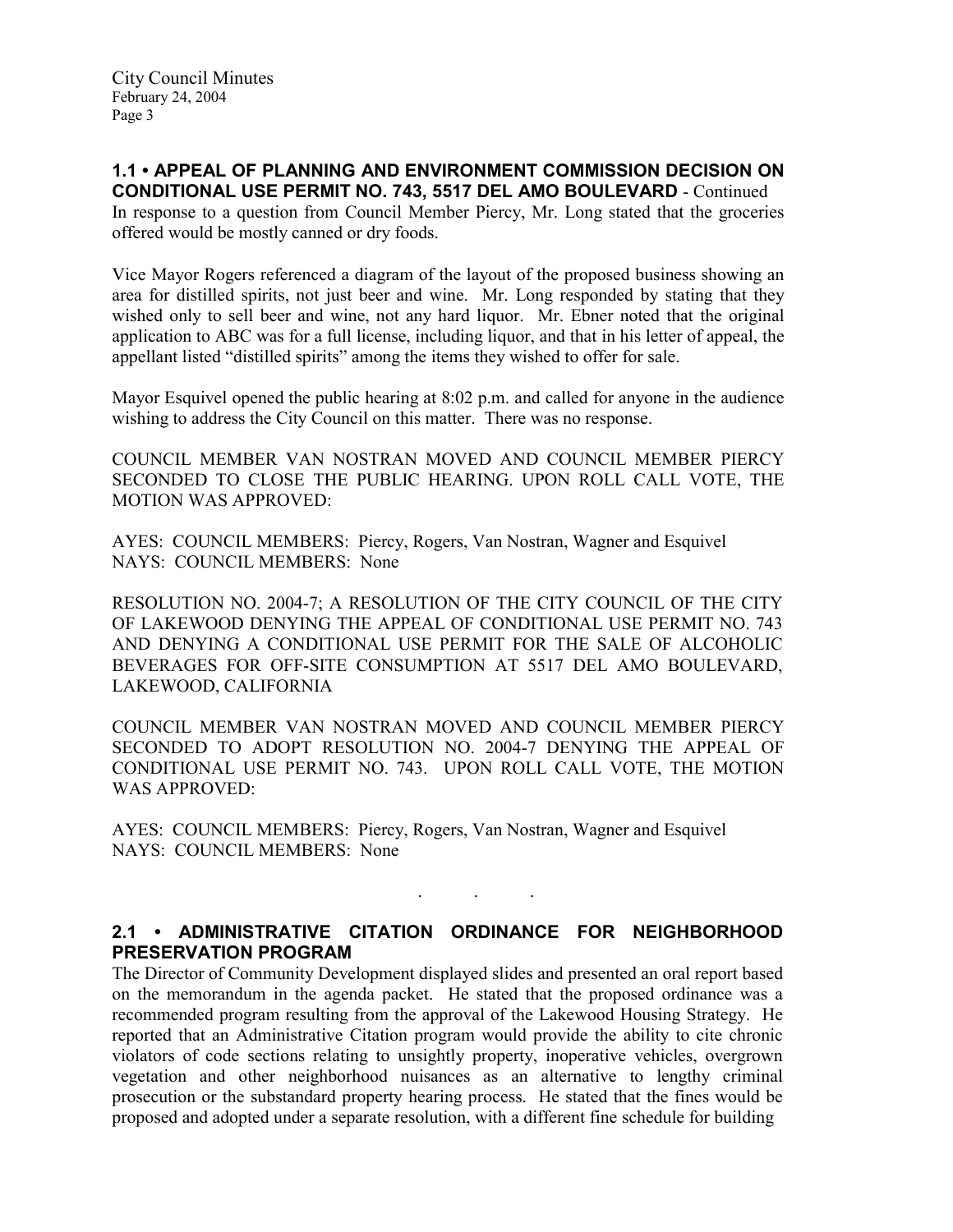1.1 • APPEAL OF PLANNING AND ENVIRONMENT COMMISSION DECISION ON

CONDITIONAL USE PERMIT NO. 743, 5517 DEL AMO BOULEVARD - Continued In response to a question from Council Member Piercy, Mr. Long stated that the groceries offered would be mostly canned or dry foods.

Vice Mayor Rogers referenced a diagram of the layout of the proposed business showing an area for distilled spirits, not just beer and wine. Mr. Long responded by stating that they wished only to sell beer and wine, not any hard liquor. Mr. Ebner noted that the original application to ABC was for a full license, including liquor, and that in his letter of appeal, the appellant listed "distilled spirits" among the items they wished to offer for sale.

Mayor Esquivel opened the public hearing at 8:02 p.m. and called for anyone in the audience wishing to address the City Council on this matter. There was no response.

COUNCIL MEMBER VAN NOSTRAN MOVED AND COUNCIL MEMBER PIERCY SECONDED TO CLOSE THE PUBLIC HEARING. UPON ROLL CALL VOTE, THE MOTION WAS APPROVED:

AYES: COUNCIL MEMBERS: Piercy, Rogers, Van Nostran, Wagner and Esquivel NAYS: COUNCIL MEMBERS: None

RESOLUTION NO. 2004-7; A RESOLUTION OF THE CITY COUNCIL OF THE CITY OF LAKEWOOD DENYING THE APPEAL OF CONDITIONAL USE PERMIT NO. 743 AND DENYING A CONDITIONAL USE PERMIT FOR THE SALE OF ALCOHOLIC BEVERAGES FOR OFF-SITE CONSUMPTION AT 5517 DEL AMO BOULEVARD, LAKEWOOD, CALIFORNIA

COUNCIL MEMBER VAN NOSTRAN MOVED AND COUNCIL MEMBER PIERCY SECONDED TO ADOPT RESOLUTION NO. 2004-7 DENYING THE APPEAL OF CONDITIONAL USE PERMIT NO. 743. UPON ROLL CALL VOTE, THE MOTION WAS APPROVED:

AYES: COUNCIL MEMBERS: Piercy, Rogers, Van Nostran, Wagner and Esquivel NAYS: COUNCIL MEMBERS: None

# 2.1 • ADMINISTRATIVE CITATION ORDINANCE FOR NEIGHBORHOOD PRESERVATION PROGRAM

. . .

The Director of Community Development displayed slides and presented an oral report based on the memorandum in the agenda packet. He stated that the proposed ordinance was a recommended program resulting from the approval of the Lakewood Housing Strategy. He reported that an Administrative Citation program would provide the ability to cite chronic violators of code sections relating to unsightly property, inoperative vehicles, overgrown vegetation and other neighborhood nuisances as an alternative to lengthy criminal prosecution or the substandard property hearing process. He stated that the fines would be proposed and adopted under a separate resolution, with a different fine schedule for building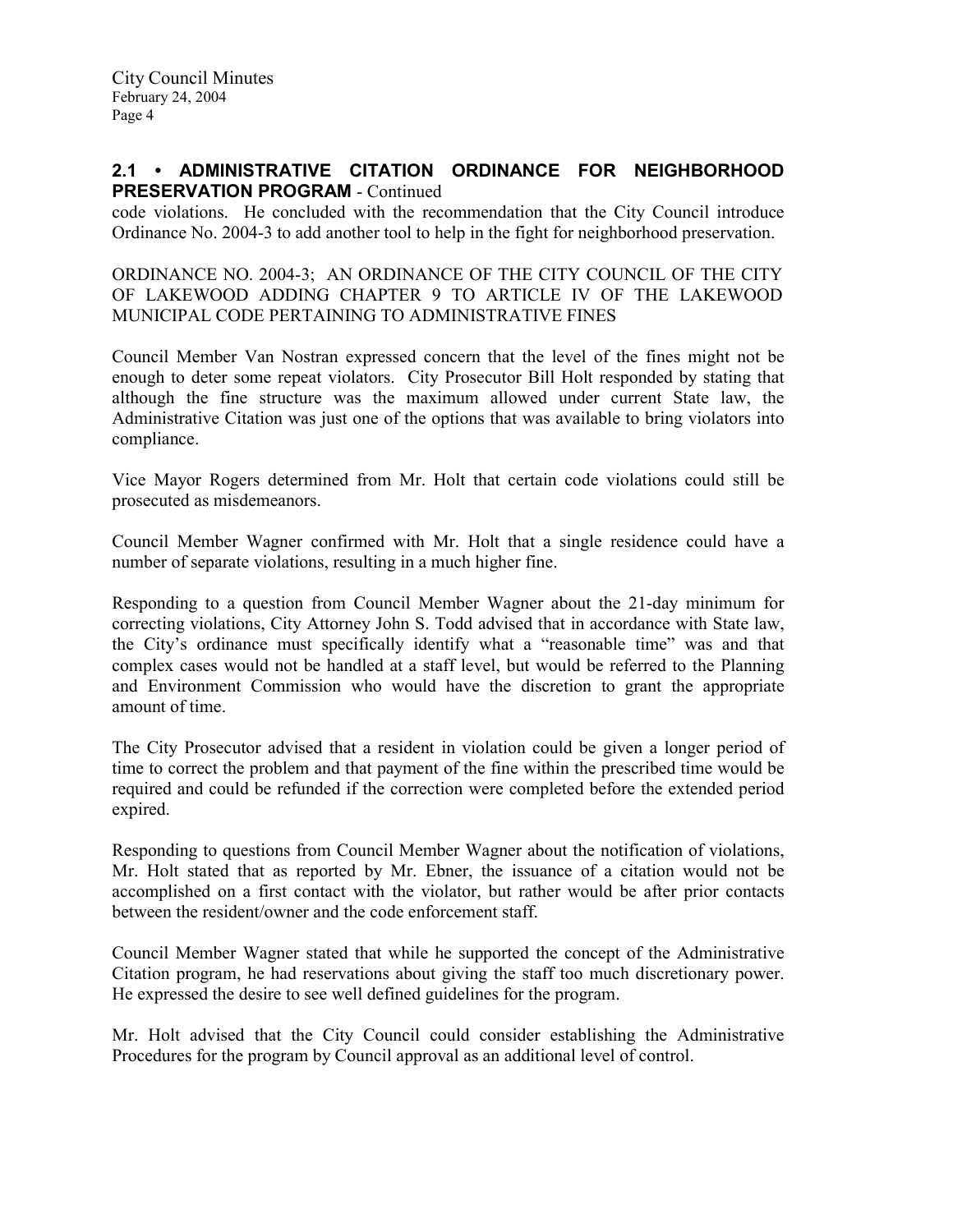### 2.1 • ADMINISTRATIVE CITATION ORDINANCE FOR NEIGHBORHOOD PRESERVATION PROGRAM - Continued

code violations. He concluded with the recommendation that the City Council introduce Ordinance No. 2004-3 to add another tool to help in the fight for neighborhood preservation.

ORDINANCE NO. 2004-3; AN ORDINANCE OF THE CITY COUNCIL OF THE CITY OF LAKEWOOD ADDING CHAPTER 9 TO ARTICLE IV OF THE LAKEWOOD MUNICIPAL CODE PERTAINING TO ADMINISTRATIVE FINES

Council Member Van Nostran expressed concern that the level of the fines might not be enough to deter some repeat violators. City Prosecutor Bill Holt responded by stating that although the fine structure was the maximum allowed under current State law, the Administrative Citation was just one of the options that was available to bring violators into compliance.

Vice Mayor Rogers determined from Mr. Holt that certain code violations could still be prosecuted as misdemeanors.

Council Member Wagner confirmed with Mr. Holt that a single residence could have a number of separate violations, resulting in a much higher fine.

Responding to a question from Council Member Wagner about the 21-day minimum for correcting violations, City Attorney John S. Todd advised that in accordance with State law, the City's ordinance must specifically identify what a "reasonable time" was and that complex cases would not be handled at a staff level, but would be referred to the Planning and Environment Commission who would have the discretion to grant the appropriate amount of time.

The City Prosecutor advised that a resident in violation could be given a longer period of time to correct the problem and that payment of the fine within the prescribed time would be required and could be refunded if the correction were completed before the extended period expired.

Responding to questions from Council Member Wagner about the notification of violations, Mr. Holt stated that as reported by Mr. Ebner, the issuance of a citation would not be accomplished on a first contact with the violator, but rather would be after prior contacts between the resident/owner and the code enforcement staff.

Council Member Wagner stated that while he supported the concept of the Administrative Citation program, he had reservations about giving the staff too much discretionary power. He expressed the desire to see well defined guidelines for the program.

Mr. Holt advised that the City Council could consider establishing the Administrative Procedures for the program by Council approval as an additional level of control.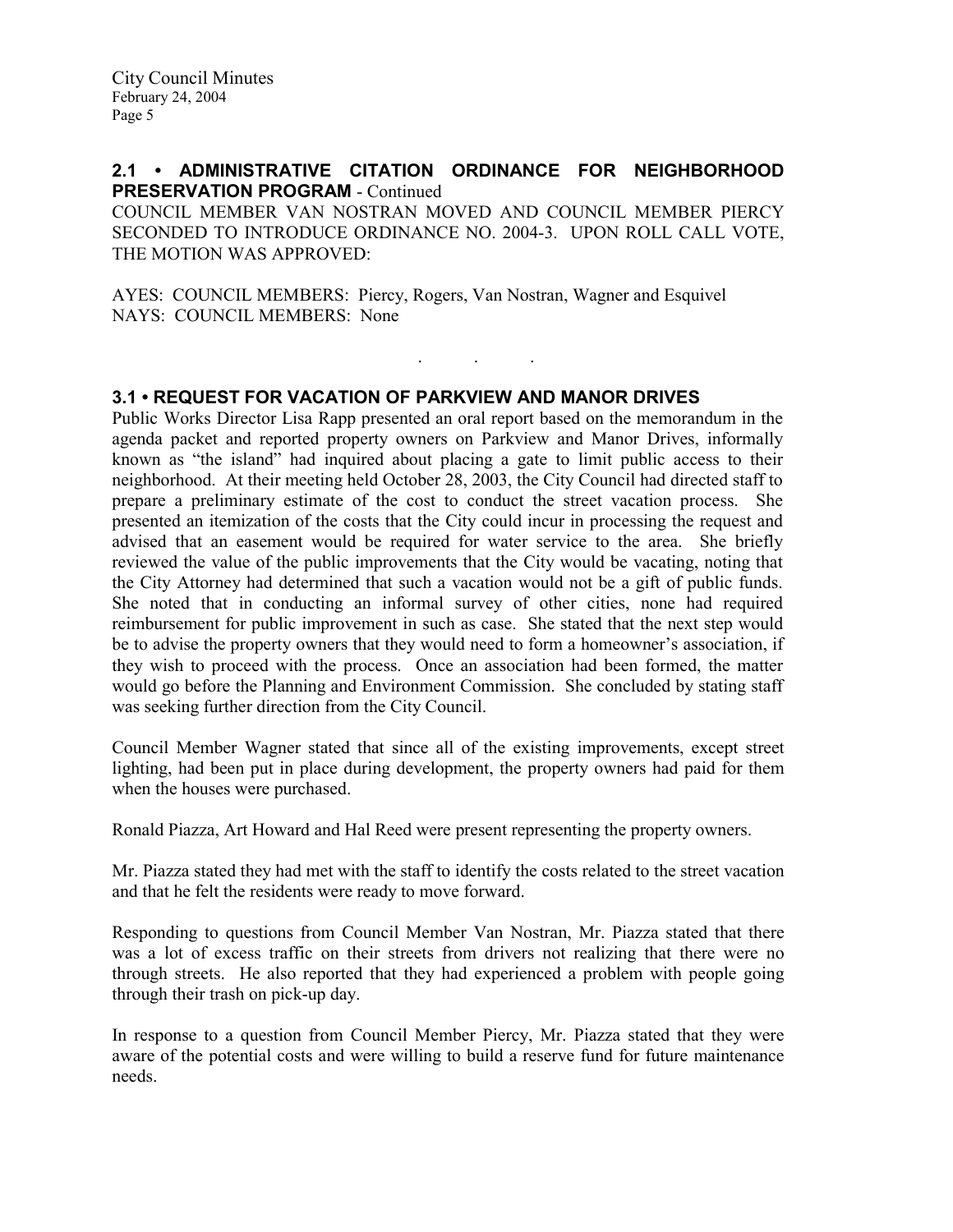### 2.1 • ADMINISTRATIVE CITATION ORDINANCE FOR NEIGHBORHOOD PRESERVATION PROGRAM - Continued

COUNCIL MEMBER VAN NOSTRAN MOVED AND COUNCIL MEMBER PIERCY SECONDED TO INTRODUCE ORDINANCE NO. 2004-3. UPON ROLL CALL VOTE, THE MOTION WAS APPROVED:

. . .

AYES: COUNCIL MEMBERS: Piercy, Rogers, Van Nostran, Wagner and Esquivel NAYS: COUNCIL MEMBERS: None

### 3.1 • REQUEST FOR VACATION OF PARKVIEW AND MANOR DRIVES

Public Works Director Lisa Rapp presented an oral report based on the memorandum in the agenda packet and reported property owners on Parkview and Manor Drives, informally known as "the island" had inquired about placing a gate to limit public access to their neighborhood. At their meeting held October 28, 2003, the City Council had directed staff to prepare a preliminary estimate of the cost to conduct the street vacation process. She presented an itemization of the costs that the City could incur in processing the request and advised that an easement would be required for water service to the area. She briefly reviewed the value of the public improvements that the City would be vacating, noting that the City Attorney had determined that such a vacation would not be a gift of public funds. She noted that in conducting an informal survey of other cities, none had required reimbursement for public improvement in such as case. She stated that the next step would be to advise the property owners that they would need to form a homeowner's association, if they wish to proceed with the process. Once an association had been formed, the matter would go before the Planning and Environment Commission. She concluded by stating staff was seeking further direction from the City Council.

Council Member Wagner stated that since all of the existing improvements, except street lighting, had been put in place during development, the property owners had paid for them when the houses were purchased.

Ronald Piazza, Art Howard and Hal Reed were present representing the property owners.

Mr. Piazza stated they had met with the staff to identify the costs related to the street vacation and that he felt the residents were ready to move forward.

Responding to questions from Council Member Van Nostran, Mr. Piazza stated that there was a lot of excess traffic on their streets from drivers not realizing that there were no through streets. He also reported that they had experienced a problem with people going through their trash on pick-up day.

In response to a question from Council Member Piercy, Mr. Piazza stated that they were aware of the potential costs and were willing to build a reserve fund for future maintenance needs.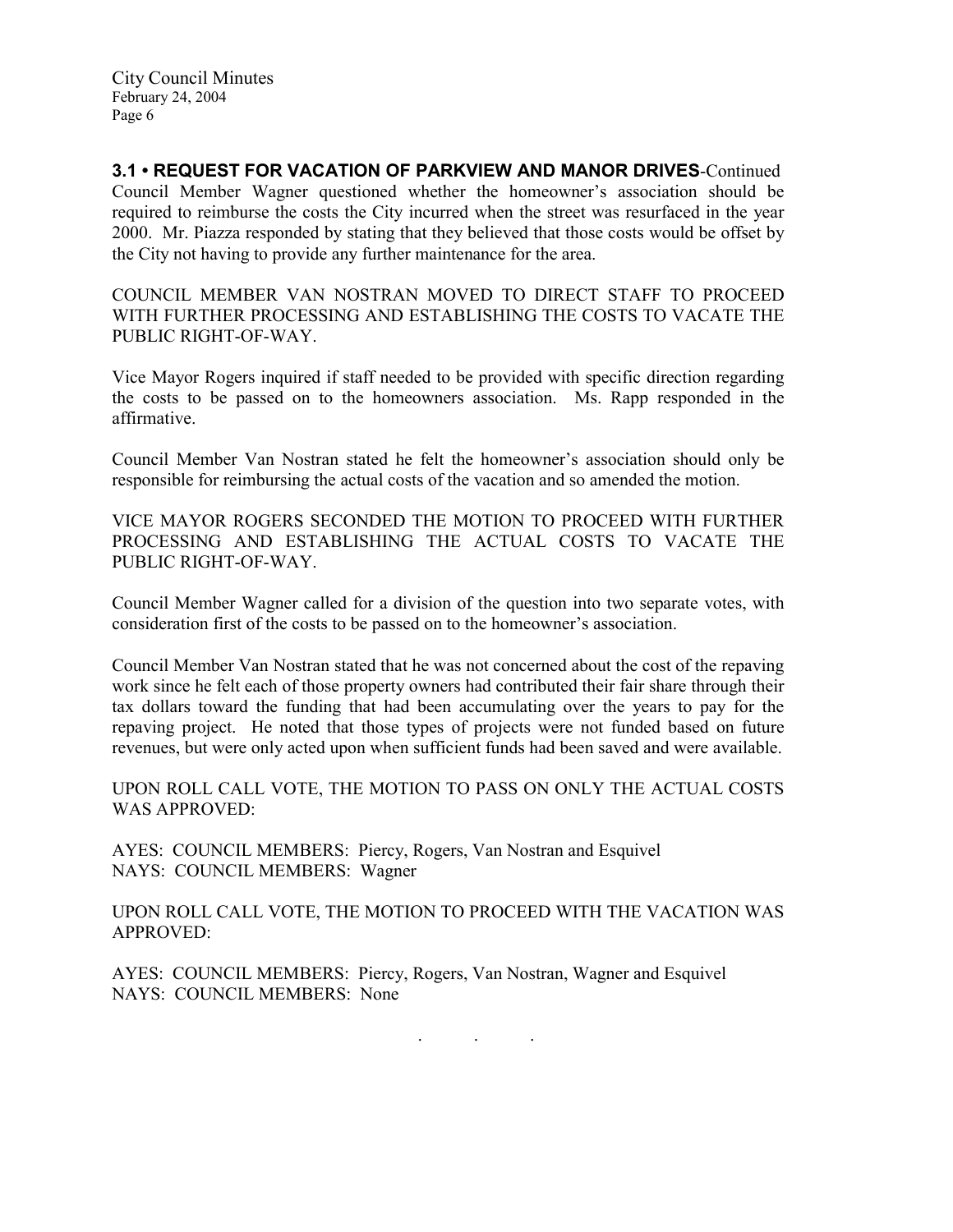City Council Minutes February 24, 2004 Page 6

3.1 • REQUEST FOR VACATION OF PARKVIEW AND MANOR DRIVES-Continued Council Member Wagner questioned whether the homeowner's association should be required to reimburse the costs the City incurred when the street was resurfaced in the year 2000. Mr. Piazza responded by stating that they believed that those costs would be offset by the City not having to provide any further maintenance for the area.

COUNCIL MEMBER VAN NOSTRAN MOVED TO DIRECT STAFF TO PROCEED WITH FURTHER PROCESSING AND ESTABLISHING THE COSTS TO VACATE THE PUBLIC RIGHT-OF-WAY.

Vice Mayor Rogers inquired if staff needed to be provided with specific direction regarding the costs to be passed on to the homeowners association. Ms. Rapp responded in the affirmative.

Council Member Van Nostran stated he felt the homeowner's association should only be responsible for reimbursing the actual costs of the vacation and so amended the motion.

VICE MAYOR ROGERS SECONDED THE MOTION TO PROCEED WITH FURTHER PROCESSING AND ESTABLISHING THE ACTUAL COSTS TO VACATE THE PUBLIC RIGHT-OF-WAY.

Council Member Wagner called for a division of the question into two separate votes, with consideration first of the costs to be passed on to the homeowner's association.

Council Member Van Nostran stated that he was not concerned about the cost of the repaving work since he felt each of those property owners had contributed their fair share through their tax dollars toward the funding that had been accumulating over the years to pay for the repaving project. He noted that those types of projects were not funded based on future revenues, but were only acted upon when sufficient funds had been saved and were available.

UPON ROLL CALL VOTE, THE MOTION TO PASS ON ONLY THE ACTUAL COSTS WAS APPROVED:

AYES: COUNCIL MEMBERS: Piercy, Rogers, Van Nostran and Esquivel NAYS: COUNCIL MEMBERS: Wagner

UPON ROLL CALL VOTE, THE MOTION TO PROCEED WITH THE VACATION WAS APPROVED:

AYES: COUNCIL MEMBERS: Piercy, Rogers, Van Nostran, Wagner and Esquivel NAYS: COUNCIL MEMBERS: None

. . .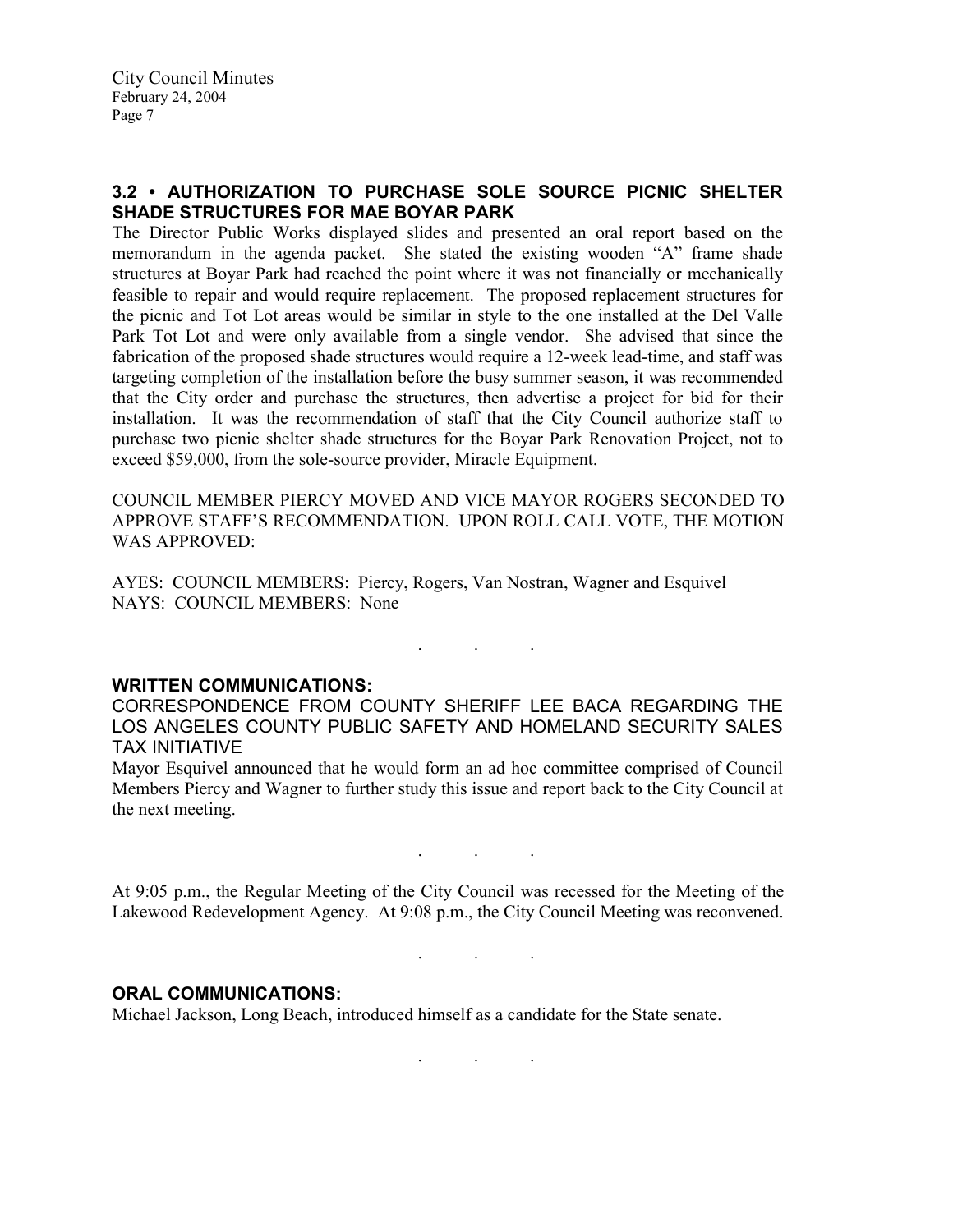## 3.2 • AUTHORIZATION TO PURCHASE SOLE SOURCE PICNIC SHELTER SHADE STRUCTURES FOR MAE BOYAR PARK

The Director Public Works displayed slides and presented an oral report based on the memorandum in the agenda packet. She stated the existing wooden "A" frame shade structures at Boyar Park had reached the point where it was not financially or mechanically feasible to repair and would require replacement. The proposed replacement structures for the picnic and Tot Lot areas would be similar in style to the one installed at the Del Valle Park Tot Lot and were only available from a single vendor. She advised that since the fabrication of the proposed shade structures would require a 12-week lead-time, and staff was targeting completion of the installation before the busy summer season, it was recommended that the City order and purchase the structures, then advertise a project for bid for their installation. It was the recommendation of staff that the City Council authorize staff to purchase two picnic shelter shade structures for the Boyar Park Renovation Project, not to exceed \$59,000, from the sole-source provider, Miracle Equipment.

COUNCIL MEMBER PIERCY MOVED AND VICE MAYOR ROGERS SECONDED TO APPROVE STAFF'S RECOMMENDATION. UPON ROLL CALL VOTE, THE MOTION WAS APPROVED:

AYES: COUNCIL MEMBERS: Piercy, Rogers, Van Nostran, Wagner and Esquivel NAYS: COUNCIL MEMBERS: None

. The set of the set of the set of the  $\mathcal{E}_\mathbf{r}$ 

#### WRITTEN COMMUNICATIONS:

CORRESPONDENCE FROM COUNTY SHERIFF LEE BACA REGARDING THE LOS ANGELES COUNTY PUBLIC SAFETY AND HOMELAND SECURITY SALES TAX INITIATIVE

Mayor Esquivel announced that he would form an ad hoc committee comprised of Council Members Piercy and Wagner to further study this issue and report back to the City Council at the next meeting.

At 9:05 p.m., the Regular Meeting of the City Council was recessed for the Meeting of the Lakewood Redevelopment Agency. At 9:08 p.m., the City Council Meeting was reconvened.

. . .

. . .

#### ORAL COMMUNICATIONS:

Michael Jackson, Long Beach, introduced himself as a candidate for the State senate.

 $\mathbf{r}$  .  $\mathbf{r}$  ,  $\mathbf{r}$  ,  $\mathbf{r}$  ,  $\mathbf{r}$  ,  $\mathbf{r}$  ,  $\mathbf{r}$  ,  $\mathbf{r}$